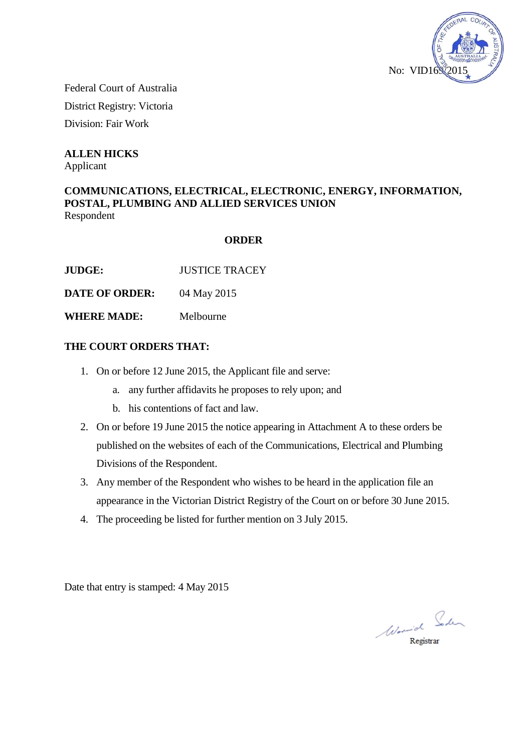

Federal Court of Australia District Registry: Victoria Division: Fair Work

**ALLEN HICKS**

Applicant

## **COMMUNICATIONS, ELECTRICAL, ELECTRONIC, ENERGY, INFORMATION, POSTAL, PLUMBING AND ALLIED SERVICES UNION** Respondent

# **ORDER**

**JUDGE:** JUSTICE TRACEY

**DATE OF ORDER:** 04 May 2015

**WHERE MADE:** Melbourne

# **THE COURT ORDERS THAT:**

- 1. On or before 12 June 2015, the Applicant file and serve:
	- a. any further affidavits he proposes to rely upon; and
	- b. his contentions of fact and law.
- 2. On or before 19 June 2015 the notice appearing in Attachment A to these orders be published on the websites of each of the Communications, Electrical and Plumbing Divisions of the Respondent.
- 3. Any member of the Respondent who wishes to be heard in the application file an appearance in the Victorian District Registry of the Court on or before 30 June 2015.
- 4. The proceeding be listed for further mention on 3 July 2015.

Date that entry is stamped: 4 May 2015

Word Soden

Registrar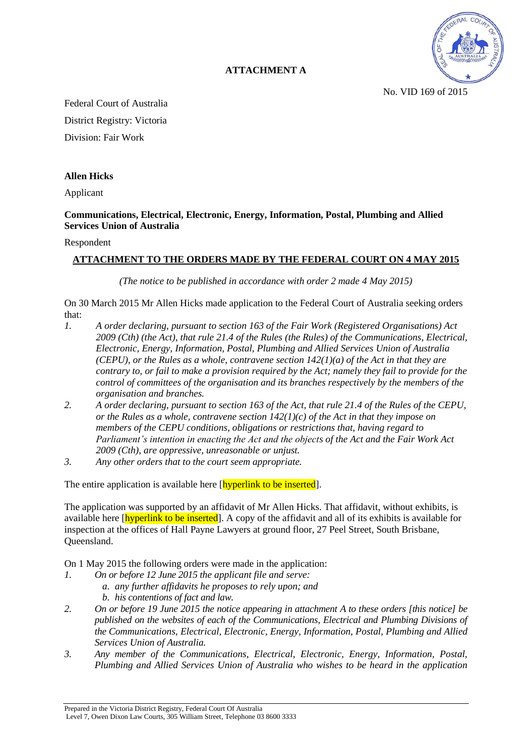

**ATTACHMENT A** 

No. VID 169 of 2015

Federal Court of Australia District Registry: Victoria Division: Fair Work

### **Allen Hicks**

Applicant

### **Communications, Electrical, Electronic, Energy, Information, Postal, Plumbing and Allied Services Union of Australia**

#### Respondent

## **ATTACHMENT TO THE ORDERS MADE BY THE FEDERAL COURT ON 4 MAY 2015**

*(The notice to be published in accordance with order 2 made 4 May 2015)* 

On 30 March 2015 Mr Allen Hicks made application to the Federal Court of Australia seeking orders that:

- *1. A order declaring, pursuant to section 163 of the Fair Work (Registered Organisations) Act 2009 (Cth) (the Act), that rule 21.4 of the Rules (the Rules) of the Communications, Electrical, Electronic, Energy, Information, Postal, Plumbing and Allied Services Union of Australia (CEPU), or the Rules as a whole, contravene section 142(1)(a) of the Act in that they are contrary to, or fail to make a provision required by the Act; namely they fail to provide for the control of committees of the organisation and its branches respectively by the members of the organisation and branches.*
- *2. A order declaring, pursuant to section 163 of the Act, that rule 21.4 of the Rules of the CEPU, or the Rules as a whole, contravene section 142(1)(c) of the Act in that they impose on members of the CEPU conditions, obligations or restrictions that, having regard to Parliament's intention in enacting the Act and the objects of the Act and the Fair Work Act 2009 (Cth), are oppressive, unreasonable or unjust.*
- *3. Any other orders that to the court seem appropriate.*

The entire application is available here [hyperlink to be inserted].

The application was supported by an affidavit of Mr Allen Hicks. That affidavit, without exhibits, is available here [hyperlink to be inserted]. A copy of the affidavit and all of its exhibits is available for inspection at the offices of Hall Payne Lawyers at ground floor, 27 Peel Street, South Brisbane, Queensland.

On 1 May 2015 the following orders were made in the application:

- *1. On or before 12 June 2015 the applicant file and serve: a. any further affidavits he proposes to rely upon; and b. his contentions of fact and law.*
- *2. On or before 19 June 2015 the notice appearing in attachment A to these orders [this notice] be published on the websites of each of the Communications, Electrical and Plumbing Divisions of the Communications, Electrical, Electronic, Energy, Information, Postal, Plumbing and Allied Services Union of Australia.*
- *3. Any member of the Communications, Electrical, Electronic, Energy, Information, Postal, Plumbing and Allied Services Union of Australia who wishes to be heard in the application*